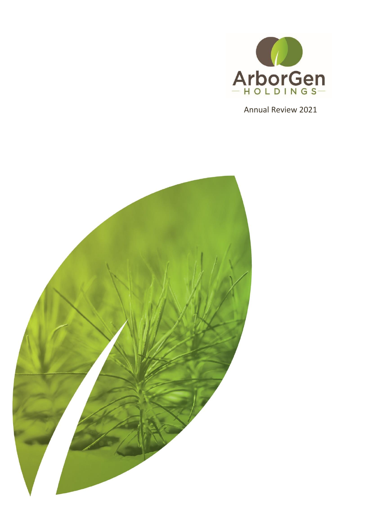

Annual Review 2021

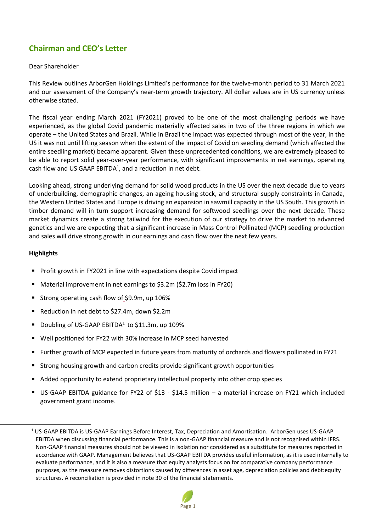# **Chairman and CEO's Letter**

#### Dear Shareholder

This Review outlines ArborGen Holdings Limited's performance for the twelve-month period to 31 March 2021 and our assessment of the Company's near-term growth trajectory. All dollar values are in US currency unless otherwise stated.

The fiscal year ending March 2021 (FY2021) proved to be one of the most challenging periods we have experienced, as the global Covid pandemic materially affected sales in two of the three regions in which we operate – the United States and Brazil. While in Brazil the impact was expected through most of the year, in the US it was not until lifting season when the extent of the impact of Covid on seedling demand (which affected the entire seedling market) became apparent. Given these unprecedented conditions, we are extremely pleased to be able to report solid year-over-year performance, with significant improvements in net earnings, operating cash flow and US GAAP EBITDA<sup>1</sup>, and a reduction in net debt.

Looking ahead, strong underlying demand for solid wood products in the US over the next decade due to years of underbuilding, demographic changes, an ageing housing stock, and structural supply constraints in Canada, the Western United States and Europe is driving an expansion in sawmill capacity in the US South. This growth in timber demand will in turn support increasing demand for softwood seedlings over the next decade. These market dynamics create a strong tailwind for the execution of our strategy to drive the market to advanced genetics and we are expecting that a significant increase in Mass Control Pollinated (MCP) seedling production and sales will drive strong growth in our earnings and cash flow over the next few years.

#### **Highlights**

 $\overline{\phantom{a}}$ 

- **Profit growth in FY2021 in line with expectations despite Covid impact**
- Material improvement in net earnings to \$3.2m (\$2.7m loss in FY20)
- Strong operating cash flow of \$9.9m, up 106%
- Reduction in net debt to \$27.4m, down \$2.2m
- **Doubling of US-GAAP EBITDA<sup>1</sup> to \$11.3m, up 109%**
- Well positioned for FY22 with 30% increase in MCP seed harvested
- Further growth of MCP expected in future years from maturity of orchards and flowers pollinated in FY21
- Strong housing growth and carbon credits provide significant growth opportunities
- Added opportunity to extend proprietary intellectual property into other crop species
- US-GAAP EBITDA guidance for FY22 of \$13 \$14.5 million a material increase on FY21 which included government grant income.

<sup>&</sup>lt;sup>1</sup> US-GAAP EBITDA is US-GAAP Earnings Before Interest, Tax, Depreciation and Amortisation. ArborGen uses US-GAAP EBITDA when discussing financial performance. This is a non-GAAP financial measure and is not recognised within IFRS. Non-GAAP financial measures should not be viewed in isolation nor considered as a substitute for measures reported in accordance with GAAP. Management believes that US-GAAP EBITDA provides useful information, as it is used internally to evaluate performance, and it is also a measure that equity analysts focus on for comparative company performance purposes, as the measure removes distortions caused by differences in asset age, depreciation policies and debt:equity structures. A reconciliation is provided in note 30 of the financial statements.

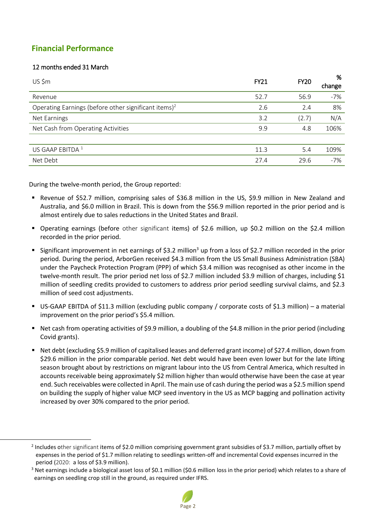# **Financial Performance**

### 12 months ended 31 March

 $\overline{\phantom{a}}$ 

| US \$m                                                           | <b>FY21</b> | <b>FY20</b> | %<br>change |
|------------------------------------------------------------------|-------------|-------------|-------------|
| Revenue                                                          | 52.7        | 56.9        | $-7%$       |
| Operating Earnings (before other significant items) <sup>2</sup> | 2.6         | 2.4         | 8%          |
| Net Earnings                                                     | 3.2         | (2.7)       | N/A         |
| Net Cash from Operating Activities                               | 9.9         | 4.8         | 106%        |
|                                                                  |             |             |             |
| US GAAP EBITDA <sup>1</sup>                                      | 11.3        | 5.4         | 109%        |
| Net Debt                                                         | 27.4        | 29.6        | $-7%$       |

During the twelve-month period, the Group reported:

- Revenue of \$52.7 million, comprising sales of \$36.8 million in the US, \$9.9 million in New Zealand and Australia, and \$6.0 million in Brazil. This is down from the \$56.9 million reported in the prior period and is almost entirely due to sales reductions in the United States and Brazil.
- Operating earnings (before other significant items) of \$2.6 million, up \$0.2 million on the \$2.4 million recorded in the prior period.
- Significant improvement in net earnings of \$3.2 million<sup>3</sup> up from a loss of \$2.7 million recorded in the prior period. During the period, ArborGen received \$4.3 million from the US Small Business Administration (SBA) under the Paycheck Protection Program (PPP) of which \$3.4 million was recognised as other income in the twelve-month result. The prior period net loss of \$2.7 million included \$3.9 million of charges, including \$1 million of seedling credits provided to customers to address prior period seedling survival claims, and \$2.3 million of seed cost adjustments.
- US-GAAP EBITDA of \$11.3 million (excluding public company / corporate costs of \$1.3 million) a material improvement on the prior period's \$5.4 million*.*
- Net cash from operating activities of \$9.9 million, a doubling of the \$4.8 million in the prior period (including Covid grants).
- Net debt (excluding \$5.9 million of capitalised leases and deferred grant income) of \$27.4 million, down from \$29.6 million in the prior comparable period. Net debt would have been even lower but for the late lifting season brought about by restrictions on migrant labour into the US from Central America, which resulted in accounts receivable being approximately \$2 million higher than would otherwise have been the case at year end. Such receivables were collected in April. The main use of cash during the period was a \$2.5 million spend on building the supply of higher value MCP seed inventory in the US as MCP bagging and pollination activity increased by over 30% compared to the prior period.

 $3$  Net earnings include a biological asset loss of \$0.1 million (\$0.6 million loss in the prior period) which relates to a share of earnings on seedling crop still in the ground, as required under IFRS.



<sup>&</sup>lt;sup>2</sup> Includes other significant items of \$2.0 million comprising government grant subsidies of \$3.7 million, partially offset by expenses in the period of \$1.7 million relating to seedlings written-off and incremental Covid expenses incurred in the period (2020: a loss of \$3.9 million).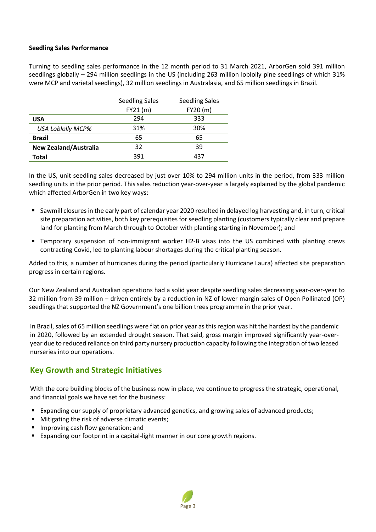#### **Seedling Sales Performance**

Turning to seedling sales performance in the 12 month period to 31 March 2021, ArborGen sold 391 million seedlings globally – 294 million seedlings in the US (including 263 million loblolly pine seedlings of which 31% were MCP and varietal seedlings), 32 million seedlings in Australasia, and 65 million seedlings in Brazil.

|                              | <b>Seedling Sales</b> | <b>Seedling Sales</b> |
|------------------------------|-----------------------|-----------------------|
|                              | FY21(m)               | FY20(m)               |
| <b>USA</b>                   | 294                   | 333                   |
| <b>USA Loblolly MCP%</b>     | 31%                   | 30%                   |
| <b>Brazil</b>                | 65                    | 65                    |
| <b>New Zealand/Australia</b> | 32                    | 39                    |
| Total                        | 391                   | 437                   |

In the US, unit seedling sales decreased by just over 10% to 294 million units in the period, from 333 million seedling units in the prior period. This sales reduction year-over-year is largely explained by the global pandemic which affected ArborGen in two key ways:

- Sawmill closuresin the early part of calendar year 2020 resulted in delayed log harvesting and, in turn, critical site preparation activities, both key prerequisites for seedling planting (customers typically clear and prepare land for planting from March through to October with planting starting in November); and
- Temporary suspension of non-immigrant worker H2-B visas into the US combined with planting crews contracting Covid, led to planting labour shortages during the critical planting season.

Added to this, a number of hurricanes during the period (particularly Hurricane Laura) affected site preparation progress in certain regions.

Our New Zealand and Australian operations had a solid year despite seedling sales decreasing year-over-year to 32 million from 39 million – driven entirely by a reduction in NZ of lower margin sales of Open Pollinated (OP) seedlings that supported the NZ Government's one billion trees programme in the prior year.

In Brazil, sales of 65 million seedlings were flat on prior year as this region was hit the hardest by the pandemic in 2020, followed by an extended drought season. That said, gross margin improved significantly year-overyear due to reduced reliance on third party nursery production capacity following the integration of two leased nurseries into our operations.

# **Key Growth and Strategic Initiatives**

With the core building blocks of the business now in place, we continue to progress the strategic, operational, and financial goals we have set for the business:

- Expanding our supply of proprietary advanced genetics, and growing sales of advanced products;
- **Mitigating the risk of adverse climatic events;**
- **Improving cash flow generation; and**
- Expanding our footprint in a capital-light manner in our core growth regions.

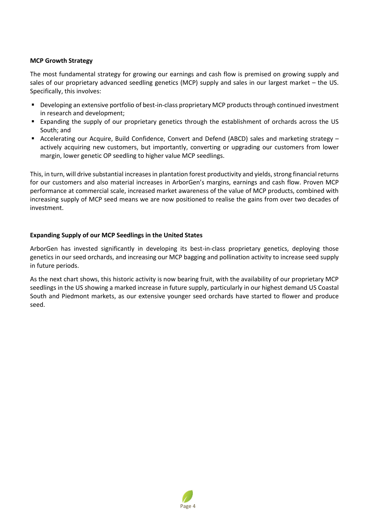#### **MCP Growth Strategy**

The most fundamental strategy for growing our earnings and cash flow is premised on growing supply and sales of our proprietary advanced seedling genetics (MCP) supply and sales in our largest market – the US. Specifically, this involves:

- **•** Developing an extensive portfolio of best-in-class proprietary MCP products through continued investment in research and development;
- Expanding the supply of our proprietary genetics through the establishment of orchards across the US South; and
- Accelerating our Acquire, Build Confidence, Convert and Defend (ABCD) sales and marketing strategy actively acquiring new customers, but importantly, converting or upgrading our customers from lower margin, lower genetic OP seedling to higher value MCP seedlings.

This, in turn, will drive substantial increases in plantation forest productivity and yields, strong financial returns for our customers and also material increases in ArborGen's margins, earnings and cash flow. Proven MCP performance at commercial scale, increased market awareness of the value of MCP products, combined with increasing supply of MCP seed means we are now positioned to realise the gains from over two decades of investment.

#### **Expanding Supply of our MCP Seedlings in the United States**

ArborGen has invested significantly in developing its best-in-class proprietary genetics, deploying those genetics in our seed orchards, and increasing our MCP bagging and pollination activity to increase seed supply in future periods.

As the next chart shows, this historic activity is now bearing fruit, with the availability of our proprietary MCP seedlings in the US showing a marked increase in future supply, particularly in our highest demand US Coastal South and Piedmont markets, as our extensive younger seed orchards have started to flower and produce seed.

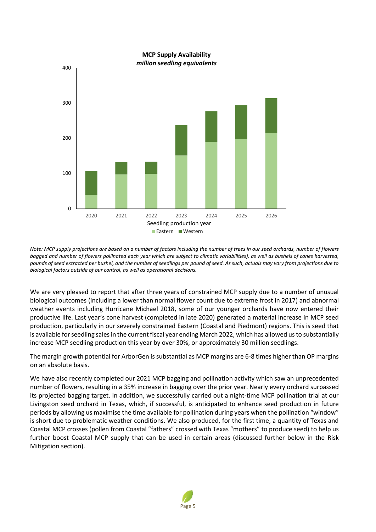

*Note: MCP supply projections are based on a number of factors including the number of trees in our seed orchards, number of flowers bagged and number of flowers pollinated each year which are subject to climatic variabilities), as well as bushels of cones harvested, pounds of seed extracted per bushel, and the number of seedlings per pound of seed. As such, actuals may vary from projections due to biological factors outside of our control, as well as operational decisions.*

We are very pleased to report that after three years of constrained MCP supply due to a number of unusual biological outcomes (including a lower than normal flower count due to extreme frost in 2017) and abnormal weather events including Hurricane Michael 2018, some of our younger orchards have now entered their productive life. Last year's cone harvest (completed in late 2020) generated a material increase in MCP seed production, particularly in our severely constrained Eastern (Coastal and Piedmont) regions. This is seed that is available for seedling sales in the current fiscal year ending March 2022, which has allowed us to substantially increase MCP seedling production this year by over 30%, or approximately 30 million seedlings.

The margin growth potential for ArborGen is substantial as MCP margins are 6-8 times higher than OP margins on an absolute basis.

We have also recently completed our 2021 MCP bagging and pollination activity which saw an unprecedented number of flowers, resulting in a 35% increase in bagging over the prior year. Nearly every orchard surpassed its projected bagging target. In addition, we successfully carried out a night-time MCP pollination trial at our Livingston seed orchard in Texas, which, if successful, is anticipated to enhance seed production in future periods by allowing us maximise the time available for pollination during years when the pollination "window" is short due to problematic weather conditions. We also produced, for the first time, a quantity of Texas and Coastal MCP crosses (pollen from Coastal "fathers" crossed with Texas "mothers" to produce seed) to help us further boost Coastal MCP supply that can be used in certain areas (discussed further below in the Risk Mitigation section).

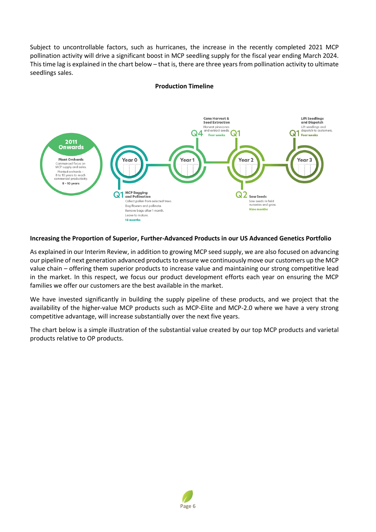Subject to uncontrollable factors, such as hurricanes, the increase in the recently completed 2021 MCP pollination activity will drive a significant boost in MCP seedling supply for the fiscal year ending March 2024. This time lag is explained in the chart below – that is, there are three years from pollination activity to ultimate seedlings sales.



#### **Production Timeline**

#### **Increasing the Proportion of Superior, Further-Advanced Products in our US Advanced Genetics Portfolio**

As explained in our Interim Review, in addition to growing MCP seed supply, we are also focused on advancing our pipeline of next generation advanced products to ensure we continuously move our customers up the MCP value chain – offering them superior products to increase value and maintaining our strong competitive lead in the market. In this respect, we focus our product development efforts each year on ensuring the MCP families we offer our customers are the best available in the market.

We have invested significantly in building the supply pipeline of these products, and we project that the availability of the higher-value MCP products such as MCP-Elite and MCP-2.0 where we have a very strong competitive advantage, will increase substantially over the next five years.

The chart below is a simple illustration of the substantial value created by our top MCP products and varietal products relative to OP products.

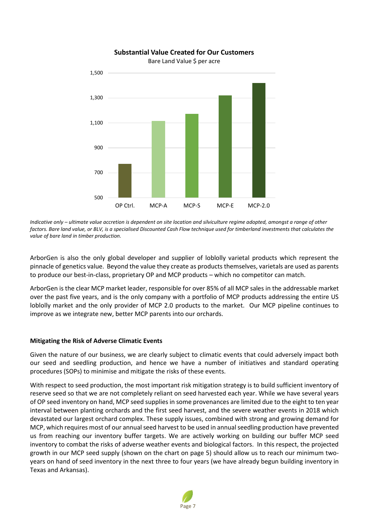

### **Substantial Value Created for Our Customers**

Bare Land Value \$ per acre

*Indicative only – ultimate value accretion is dependent on site location and silviculture regime adopted, amongst a range of other factors. Bare land value, or BLV, is a specialised Discounted Cash Flow technique used for timberland investments that calculates the value of bare land in timber production.*

ArborGen is also the only global developer and supplier of loblolly varietal products which represent the pinnacle of genetics value. Beyond the value they create as products themselves, varietals are used as parents to produce our best-in-class, proprietary OP and MCP products – which no competitor can match.

ArborGen is the clear MCP market leader, responsible for over 85% of all MCP sales in the addressable market over the past five years, and is the only company with a portfolio of MCP products addressing the entire US loblolly market and the only provider of MCP 2.0 products to the market. Our MCP pipeline continues to improve as we integrate new, better MCP parents into our orchards.

# **Mitigating the Risk of Adverse Climatic Events**

Given the nature of our business, we are clearly subject to climatic events that could adversely impact both our seed and seedling production, and hence we have a number of initiatives and standard operating procedures (SOPs) to minimise and mitigate the risks of these events.

With respect to seed production, the most important risk mitigation strategy is to build sufficient inventory of reserve seed so that we are not completely reliant on seed harvested each year. While we have several years of OP seed inventory on hand, MCP seed supplies in some provenances are limited due to the eight to ten year interval between planting orchards and the first seed harvest, and the severe weather events in 2018 which devastated our largest orchard complex. These supply issues, combined with strong and growing demand for MCP, which requires most of our annual seed harvest to be used in annual seedling production have prevented us from reaching our inventory buffer targets. We are actively working on building our buffer MCP seed inventory to combat the risks of adverse weather events and biological factors. In this respect, the projected growth in our MCP seed supply (shown on the chart on page 5) should allow us to reach our minimum twoyears on hand of seed inventory in the next three to four years (we have already begun building inventory in Texas and Arkansas).

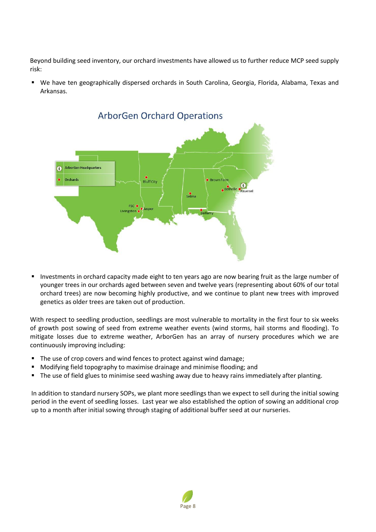Beyond building seed inventory, our orchard investments have allowed us to further reduce MCP seed supply risk:

 We have ten geographically dispersed orchards in South Carolina, Georgia, Florida, Alabama, Texas and Arkansas.



 Investments in orchard capacity made eight to ten years ago are now bearing fruit as the large number of younger trees in our orchards aged between seven and twelve years (representing about 60% of our total orchard trees) are now becoming highly productive, and we continue to plant new trees with improved genetics as older trees are taken out of production.

With respect to seedling production, seedlings are most vulnerable to mortality in the first four to six weeks of growth post sowing of seed from extreme weather events (wind storms, hail storms and flooding). To mitigate losses due to extreme weather, ArborGen has an array of nursery procedures which we are continuously improving including:

- The use of crop covers and wind fences to protect against wind damage;
- Modifying field topography to maximise drainage and minimise flooding; and
- The use of field glues to minimise seed washing away due to heavy rains immediately after planting.

In addition to standard nursery SOPs, we plant more seedlings than we expect to sell during the initial sowing period in the event of seedling losses. Last year we also established the option of sowing an additional crop up to a month after initial sowing through staging of additional buffer seed at our nurseries.

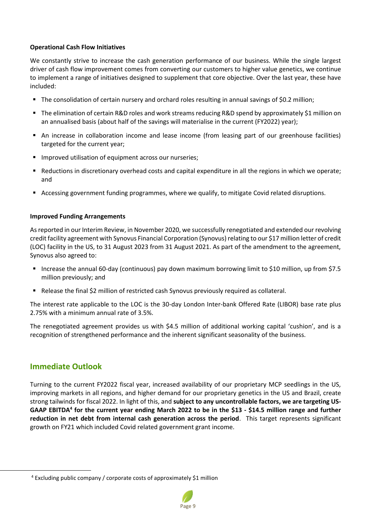#### **Operational Cash Flow Initiatives**

We constantly strive to increase the cash generation performance of our business. While the single largest driver of cash flow improvement comes from converting our customers to higher value genetics, we continue to implement a range of initiatives designed to supplement that core objective. Over the last year, these have included:

- The consolidation of certain nursery and orchard roles resulting in annual savings of \$0.2 million;
- The elimination of certain R&D roles and work streams reducing R&D spend by approximately \$1 million on an annualised basis (about half of the savings will materialise in the current (FY2022) year);
- An increase in collaboration income and lease income (from leasing part of our greenhouse facilities) targeted for the current year;
- **IMPROVED 19** Improved utilisation of equipment across our nurseries;
- Reductions in discretionary overhead costs and capital expenditure in all the regions in which we operate; and
- Accessing government funding programmes, where we qualify, to mitigate Covid related disruptions.

#### **Improved Funding Arrangements**

As reported in our Interim Review, in November 2020, we successfully renegotiated and extended our revolving credit facility agreement with Synovus Financial Corporation (Synovus) relating to our \$17 million letter of credit (LOC) facility in the US, to 31 August 2023 from 31 August 2021. As part of the amendment to the agreement, Synovus also agreed to:

- Increase the annual 60-day (continuous) pay down maximum borrowing limit to \$10 million, up from \$7.5 million previously; and
- **Release the final \$2 million of restricted cash Synovus previously required as collateral.**

The interest rate applicable to the LOC is the 30-day London Inter-bank Offered Rate (LIBOR) base rate plus 2.75% with a minimum annual rate of 3.5%.

The renegotiated agreement provides us with \$4.5 million of additional working capital 'cushion', and is a recognition of strengthened performance and the inherent significant seasonality of the business.

## **Immediate Outlook**

 $\overline{a}$ 

Turning to the current FY2022 fiscal year, increased availability of our proprietary MCP seedlings in the US, improving markets in all regions, and higher demand for our proprietary genetics in the US and Brazil, create strong tailwinds for fiscal 2022. In light of this, and **subject to any uncontrollable factors, we are targeting US-GAAP EBITDA<sup>4</sup> for the current year ending March 2022 to be in the \$13 - \$14.5 million range and further reduction in net debt from internal cash generation across the period**. This target represents significant growth on FY21 which included Covid related government grant income.

<sup>4</sup> Excluding public company / corporate costs of approximately \$1 million

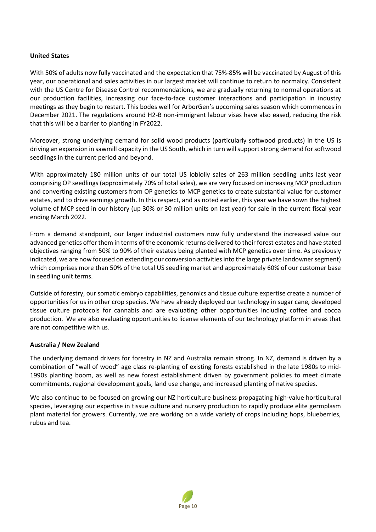#### **United States**

With 50% of adults now fully vaccinated and the expectation that 75%-85% will be vaccinated by August of this year, our operational and sales activities in our largest market will continue to return to normalcy. Consistent with the US Centre for Disease Control recommendations, we are gradually returning to normal operations at our production facilities, increasing our face-to-face customer interactions and participation in industry meetings as they begin to restart. This bodes well for ArborGen's upcoming sales season which commences in December 2021. The regulations around H2-B non-immigrant labour visas have also eased, reducing the risk that this will be a barrier to planting in FY2022.

Moreover, strong underlying demand for solid wood products (particularly softwood products) in the US is driving an expansion in sawmill capacity in the US South, which in turn will support strong demand for softwood seedlings in the current period and beyond.

With approximately 180 million units of our total US loblolly sales of 263 million seedling units last year comprising OP seedlings (approximately 70% of total sales), we are very focused on increasing MCP production and converting existing customers from OP genetics to MCP genetics to create substantial value for customer estates, and to drive earnings growth. In this respect, and as noted earlier, this year we have sown the highest volume of MCP seed in our history (up 30% or 30 million units on last year) for sale in the current fiscal year ending March 2022.

From a demand standpoint, our larger industrial customers now fully understand the increased value our advanced genetics offer them in terms of the economic returns delivered to their forest estates and have stated objectives ranging from 50% to 90% of their estates being planted with MCP genetics over time. As previously indicated, we are now focused on extending our conversion activities into the large private landownersegment) which comprises more than 50% of the total US seedling market and approximately 60% of our customer base in seedling unit terms.

Outside of forestry, our somatic embryo capabilities, genomics and tissue culture expertise create a number of opportunities for us in other crop species. We have already deployed our technology in sugar cane, developed tissue culture protocols for cannabis and are evaluating other opportunities including coffee and cocoa production. We are also evaluating opportunities to license elements of our technology platform in areas that are not competitive with us.

#### **Australia / New Zealand**

The underlying demand drivers for forestry in NZ and Australia remain strong. In NZ, demand is driven by a combination of "wall of wood" age class re-planting of existing forests established in the late 1980s to mid-1990s planting boom, as well as new forest establishment driven by government policies to meet climate commitments, regional development goals, land use change, and increased planting of native species.

We also continue to be focused on growing our NZ horticulture business propagating high-value horticultural species, leveraging our expertise in tissue culture and nursery production to rapidly produce elite germplasm plant material for growers. Currently, we are working on a wide variety of crops including hops, blueberries, rubus and tea.